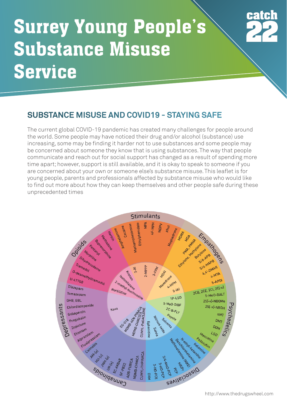## **Surrey Young People's Substance Misuse Service**



#### **SUBSTANCE MISUSE AND COVID19 - STAYING SAFE**

The current global COVID-19 pandemic has created many challenges for people around the world. Some people may have noticed their drug and/or alcohol (substance) use increasing, some may be finding it harder not to use substances and some people may be concerned about someone they know that is using substances. The way that people communicate and reach out for social support has changed as a result of spending more time apart; however, support is still available, and it is okay to speak to someone if you are concerned about your own or someone else's substance misuse. This leaflet is for young people, parents and professionals affected by substance misuse who would like to find out more about how they can keep themselves and other people safe during these unprecedented times

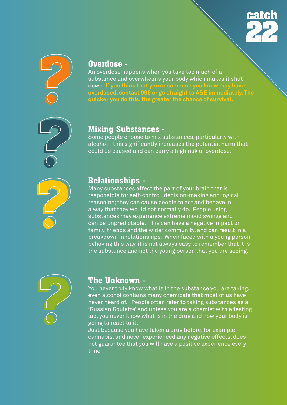



#### **Overdose -**

An overdose happens when you take too much of a substance and overwhelms your body which makes it shut down. **If you think that you or someone you know may have overdosed, contact 999 or go straight to A&E immediately. The quicker you do this, the greater the chance of survival.** 

# **? ?**

#### **Mixing Substances -**

Some people choose to mix substances, particularly with alcohol - this significantly increases the potential harm that could be caused and can carry a high risk of overdose.

#### **Relationships -**

Many substances affect the part of your brain that is responsible for self-control, decision-making and logical reasoning; they can cause people to act and behave in a way that they would not normally do. People using substances may experience extreme mood swings and can be unpredictable. This can have a negative impact on family, friends and the wider community, and can result in a breakdown in relationships. When faced with a young person behaving this way, it is not always easy to remember that it is the substance and not the young person that you are seeing.



#### **The Unknown -**

You never truly know what is in the substance you are taking... even alcohol contains many chemicals that most of us have never heard of. People often refer to taking substances as a 'Russian Roulette' and unless you are a chemist with a testing lab, you never know what is in the drug and how your body is going to react to it.

Just because you have taken a drug before, for example cannabis, and never experienced any negative effects, does not guarantee that you will have a positive experience every time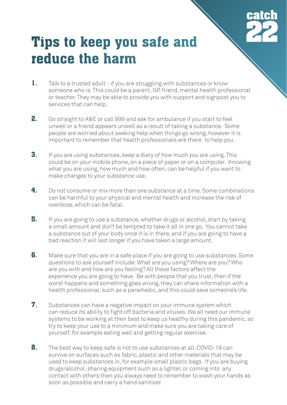

### **Tips to keep you safe and reduce the harm**

- **1.** Talk to a trusted adult if you are struggling with substances or know someone who is. This could be a parent, GP, friend, mental health professional or teacher. They may be able to provide you with support and signpost you to services that can help.
- **2.** Go straight to A&E or call 999 and ask for ambulance if you start to feel unwell or a friend appears unwell as a result of taking a substance. Some people are worried about seeking help when things go wrong, however it is important to remember that health professionals are there to help you.
- **3.** If you are using substances, keep a diary of how much you are using. This could be on your mobile phone, on a piece of paper or on a computer. Knowing what you are using, how much and how often, can be helpful if you want to make changes to your substance use.
- **4.** Do not consume or mix more than one substance at a time. Some combinations can be harmful to your physical and mental health and increase the risk of overdose, which can be fatal.
- **5.** If you are going to use a substance, whether drugs or alcohol, start by taking a small amount and don't be tempted to take it all in one go. You cannot take a substance out of your body once it is in there, and if you are going to have a bad reaction it will last longer if you have taken a large amount.
- **6.** Make sure that you are in a safe place if you are going to use substances. Some questions to ask yourself include: What are you using? Where are you? Who are you with and how are you feeling? All these factors affect the experience you are going to have. Be with people that you trust, then if the worst happens and something goes wrong, they can share information with a health professional, such as a paramedic, and this could save someone's life.
- **7.** Substances can have a negative impact on your immune system which can reduce its ability to fight off bacteria and viruses. We all need our immune systems to be working at their best to keep us healthy during this pandemic, so try to keep your use to a minimum and make sure you are taking care of yourself, for example eating well and getting regular exercise.
- **8.** The best way to keep safe is not to use substances at all. COVID-19 can survive on surfaces such as fabric, plastic and other materials that may be used to keep substances in, for example small plastic bags. If you are buying drugs/alcohol, sharing equipment such as a lighter, or coming into any contact with others then you always need to remember to wash your hands as soon as possible and carry a hand sanitiser.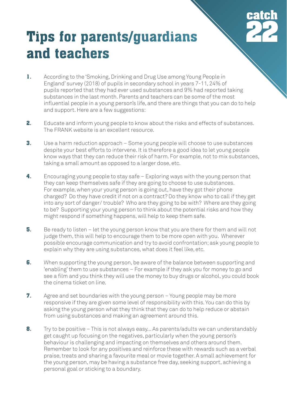

## **Tips for parents/guardians and teachers**

- **1.** According to the 'Smoking, Drinking and Drug Use among Young People in England' survey (2018) of pupils in secondary school in years 7-11, 24% of pupils reported that they had ever used substances and 9% had reported taking substances in the last month. Parents and teachers can be some of the most influential people in a young person's life, and there are things that you can do to help and support. Here are a few suggestions:
- **2.** Educate and inform young people to know about the risks and effects of substances. The FRANK website is an excellent resource.
- **3.** Use a harm reduction approach Some young people will choose to use substances despite your best efforts to intervene. It is therefore a good idea to let young people know ways that they can reduce their risk of harm. For example, not to mix substances, taking a small amount as opposed to a larger dose, etc.
- **4.** Encouraging young people to stay safe Exploring ways with the young person that they can keep themselves safe if they are going to choose to use substances. For example, when your young person is going out, have they got their phone charged? Do they have credit if not on a contract? Do they know who to call if they get into any sort of danger/ trouble? Who are they going to be with? Where are they going to be? Supporting your young person to think about the potential risks and how they might respond if something happens, will help to keep them safe.
- **5.** Be ready to listen let the young person know that you are there for them and will not judge them, this will help to encourage them to be more open with you. Wherever possible encourage communication and try to avoid confrontation; ask young people to explain why they are using substances, what does it feel like, etc.
- **6.** When supporting the young person, be aware of the balance between supporting and 'enabling' them to use substances – For example if they ask you for money to go and see a film and you think they will use the money to buy drugs or alcohol, you could book the cinema ticket on line.
- **7.** Agree and set boundaries with the young person Young people may be more responsive if they are given some level of responsibility with this. You can do this by asking the young person what they think that they can do to help reduce or abstain from using substances and making an agreement around this.
- **8.** Try to be positive This is not always easy... As parents/adults we can understandably get caught up focusing on the negatives, particularly when the young person's behaviour is challenging and impacting on themselves and others around them. Remember to look for any positives and reinforce these with rewards such as a verbal praise, treats and sharing a favourite meal or movie together. A small achievement for the young person, may be having a substance free day, seeking support, achieving a personal goal or sticking to a boundary.